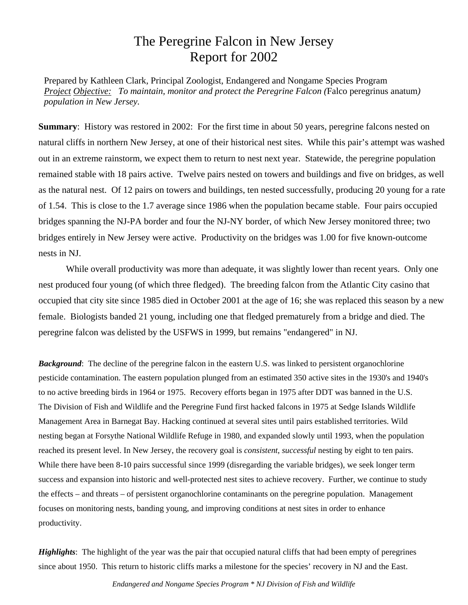## The Peregrine Falcon in New Jersey Report for 2002

Prepared by Kathleen Clark, Principal Zoologist, Endangered and Nongame Species Program *Project Objective: To maintain, monitor and protect the Peregrine Falcon (*Falco peregrinus anatum*) population in New Jersey.*

**Summary:** History was restored in 2002: For the first time in about 50 years, peregrine falcons nested on natural cliffs in northern New Jersey, at one of their historical nest sites. While this pair's attempt was washed out in an extreme rainstorm, we expect them to return to nest next year. Statewide, the peregrine population remained stable with 18 pairs active. Twelve pairs nested on towers and buildings and five on bridges, as well as the natural nest. Of 12 pairs on towers and buildings, ten nested successfully, producing 20 young for a rate of 1.54. This is close to the 1.7 average since 1986 when the population became stable. Four pairs occupied bridges spanning the NJ-PA border and four the NJ-NY border, of which New Jersey monitored three; two bridges entirely in New Jersey were active. Productivity on the bridges was 1.00 for five known-outcome nests in NJ.

While overall productivity was more than adequate, it was slightly lower than recent years. Only one nest produced four young (of which three fledged). The breeding falcon from the Atlantic City casino that occupied that city site since 1985 died in October 2001 at the age of 16; she was replaced this season by a new female. Biologists banded 21 young, including one that fledged prematurely from a bridge and died. The peregrine falcon was delisted by the USFWS in 1999, but remains "endangered" in NJ.

*Background*: The decline of the peregrine falcon in the eastern U.S. was linked to persistent organochlorine pesticide contamination. The eastern population plunged from an estimated 350 active sites in the 1930's and 1940's to no active breeding birds in 1964 or 1975. Recovery efforts began in 1975 after DDT was banned in the U.S. The Division of Fish and Wildlife and the Peregrine Fund first hacked falcons in 1975 at Sedge Islands Wildlife Management Area in Barnegat Bay. Hacking continued at several sites until pairs established territories. Wild nesting began at Forsythe National Wildlife Refuge in 1980, and expanded slowly until 1993, when the population reached its present level. In New Jersey, the recovery goal is *consistent*, *successful* nesting by eight to ten pairs. While there have been 8-10 pairs successful since 1999 (disregarding the variable bridges), we seek longer term success and expansion into historic and well-protected nest sites to achieve recovery. Further, we continue to study the effects – and threats – of persistent organochlorine contaminants on the peregrine population. Management focuses on monitoring nests, banding young, and improving conditions at nest sites in order to enhance productivity.

*Highlights*: The highlight of the year was the pair that occupied natural cliffs that had been empty of peregrines since about 1950. This return to historic cliffs marks a milestone for the species' recovery in NJ and the East.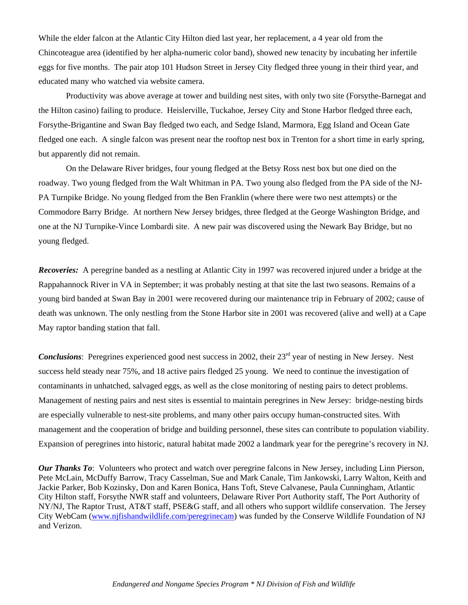While the elder falcon at the Atlantic City Hilton died last year, her replacement, a 4 year old from the Chincoteague area (identified by her alpha-numeric color band), showed new tenacity by incubating her infertile eggs for five months. The pair atop 101 Hudson Street in Jersey City fledged three young in their third year, and educated many who watched via website camera.

Productivity was above average at tower and building nest sites, with only two site (Forsythe-Barnegat and the Hilton casino) failing to produce. Heislerville, Tuckahoe, Jersey City and Stone Harbor fledged three each, Forsythe-Brigantine and Swan Bay fledged two each, and Sedge Island, Marmora, Egg Island and Ocean Gate fledged one each. A single falcon was present near the rooftop nest box in Trenton for a short time in early spring, but apparently did not remain.

On the Delaware River bridges, four young fledged at the Betsy Ross nest box but one died on the roadway. Two young fledged from the Walt Whitman in PA. Two young also fledged from the PA side of the NJ-PA Turnpike Bridge. No young fledged from the Ben Franklin (where there were two nest attempts) or the Commodore Barry Bridge. At northern New Jersey bridges, three fledged at the George Washington Bridge, and one at the NJ Turnpike-Vince Lombardi site. A new pair was discovered using the Newark Bay Bridge, but no young fledged.

*Recoveries:* A peregrine banded as a nestling at Atlantic City in 1997 was recovered injured under a bridge at the Rappahannock River in VA in September; it was probably nesting at that site the last two seasons. Remains of a young bird banded at Swan Bay in 2001 were recovered during our maintenance trip in February of 2002; cause of death was unknown. The only nestling from the Stone Harbor site in 2001 was recovered (alive and well) at a Cape May raptor banding station that fall.

*Conclusions*: Peregrines experienced good nest success in 2002, their 23<sup>rd</sup> year of nesting in New Jersey. Nest success held steady near 75%, and 18 active pairs fledged 25 young. We need to continue the investigation of contaminants in unhatched, salvaged eggs, as well as the close monitoring of nesting pairs to detect problems. Management of nesting pairs and nest sites is essential to maintain peregrines in New Jersey: bridge-nesting birds are especially vulnerable to nest-site problems, and many other pairs occupy human-constructed sites. With management and the cooperation of bridge and building personnel, these sites can contribute to population viability. Expansion of peregrines into historic, natural habitat made 2002 a landmark year for the peregrine's recovery in NJ.

*Our Thanks To*: Volunteers who protect and watch over peregrine falcons in New Jersey, including Linn Pierson, Pete McLain, McDuffy Barrow, Tracy Casselman, Sue and Mark Canale, Tim Jankowski, Larry Walton, Keith and Jackie Parker, Bob Kozinsky, Don and Karen Bonica, Hans Toft, Steve Calvanese, Paula Cunningham, Atlantic City Hilton staff, Forsythe NWR staff and volunteers, Delaware River Port Authority staff, The Port Authority of NY/NJ, The Raptor Trust, AT&T staff, PSE&G staff, and all others who support wildlife conservation. The Jersey City WebCam (www.njfishandwildlife.com/peregrinecam) was funded by the Conserve Wildlife Foundation of NJ and Verizon.